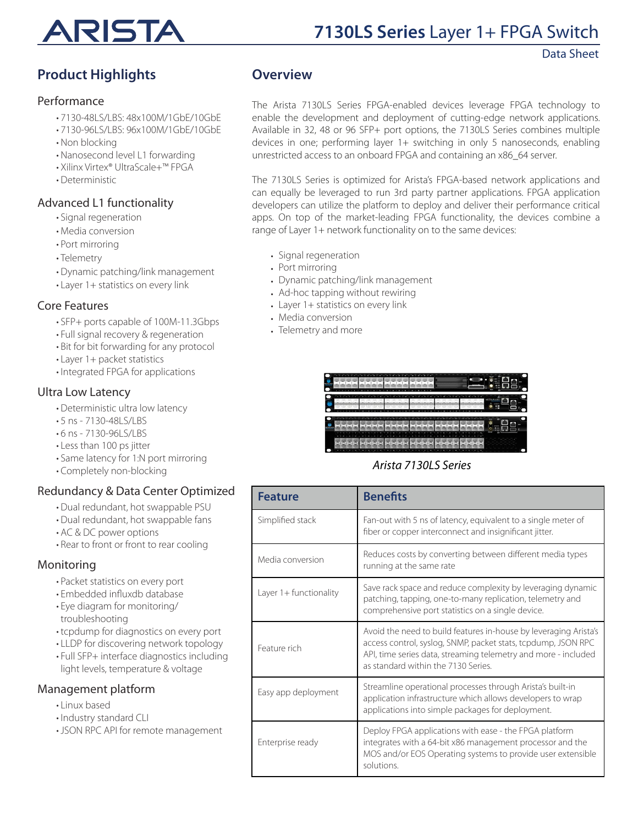

Data Sheet

## **Product Highlights**

#### Performance

- 7130-48LS/LBS: 48x100M/1GbE/10GbE
- 7130-96LS/LBS: 96x100M/1GbE/10GbE
- Non blocking
- Nanosecond level L1 forwarding
- Xilinx Virtex® UltraScale+™ FPGA
- Deterministic

### Advanced L1 functionality

- Signal regeneration
- Media conversion
- Port mirroring
- Telemetry
- Dynamic patching/link management
- Layer 1+ statistics on every link

#### Core Features

- SFP+ ports capable of 100M-11.3Gbps
- Full signal recovery & regeneration
- Bit for bit forwarding for any protocol
- Layer 1+ packet statistics
- Integrated FPGA for applications

### Ultra Low Latency

- Deterministic ultra low latency
- 5 ns 7130-48LS/LBS
- 6 ns 7130-96LS/LBS
- Less than 100 ps jitter
- Same latency for 1:N port mirroring
- Completely non-blocking

## Redundancy & Data Center Optimized

- Dual redundant, hot swappable PSU
- Dual redundant, hot swappable fans
- AC & DC power options
- Rear to front or front to rear cooling

### Monitoring

- Packet statistics on every port
- Embedded influxdb database
- Eye diagram for monitoring/ troubleshooting
- tcpdump for diagnostics on every port
- LLDP for discovering network topology
- Full SFP+ interface diagnostics including light levels, temperature & voltage

#### Management platform

- Linux based
- Industry standard CLI
- JSON RPC API for remote management

### **Overview**

The Arista 7130LS Series FPGA-enabled devices leverage FPGA technology to enable the development and deployment of cutting-edge network applications. Available in 32, 48 or 96 SFP+ port options, the 7130LS Series combines multiple devices in one; performing layer 1+ switching in only 5 nanoseconds, enabling unrestricted access to an onboard FPGA and containing an x86\_64 server.

The 7130LS Series is optimized for Arista's FPGA-based network applications and can equally be leveraged to run 3rd party partner applications. FPGA application developers can utilize the platform to deploy and deliver their performance critical apps. On top of the market-leading FPGA functionality, the devices combine a range of Layer 1+ network functionality on to the same devices:

- Signal regeneration
- Port mirroring
- Dynamic patching/link management
- Ad-hoc tapping without rewiring
- Layer 1+ statistics on every link
- Media conversion
- Telemetry and more

| <b>Service</b><br><b>Contract</b><br><b>STATE</b><br><b>State</b><br>.<br>٠<br>٠<br>٠ | <b>STATE</b><br><b>STATE</b><br><b>State</b><br><b>State</b> | <b>TELE</b><br><b>STATE</b><br><b>STATE</b><br><b>STATE</b><br>-<br>٠<br>٠<br>٠<br>٠ | <b>State</b><br><b>State</b><br>٠<br>٠ | <b>HEA</b><br>۰                     |
|---------------------------------------------------------------------------------------|--------------------------------------------------------------|--------------------------------------------------------------------------------------|----------------------------------------|-------------------------------------|
|                                                                                       |                                                              |                                                                                      | ÷<br>×<br>٠                            |                                     |
|                                                                                       |                                                              |                                                                                      |                                        |                                     |
| $\overline{\phantom{a}}$<br><b>AFTER MAKE</b>                                         | $\overline{\phantom{a}}$                                     |                                                                                      |                                        | --<br>c<br>c<br><b>The New</b><br>А |

### *Arista 7130LS Series*

| <b>Feature</b>         | <b>Benefits</b>                                                                                                                                                                                                                            |
|------------------------|--------------------------------------------------------------------------------------------------------------------------------------------------------------------------------------------------------------------------------------------|
| Simplified stack       | Fan-out with 5 ns of latency, equivalent to a single meter of<br>fiber or copper interconnect and insignificant jitter.                                                                                                                    |
| Media conversion       | Reduces costs by converting between different media types<br>running at the same rate                                                                                                                                                      |
| Layer 1+ functionality | Save rack space and reduce complexity by leveraging dynamic<br>patching, tapping, one-to-many replication, telemetry and<br>comprehensive port statistics on a single device.                                                              |
| Feature rich           | Avoid the need to build features in-house by leveraging Arista's<br>access control, syslog, SNMP, packet stats, tcpdump, JSON RPC<br>API, time series data, streaming telemetry and more - included<br>as standard within the 7130 Series. |
| Easy app deployment    | Streamline operational processes through Arista's built-in<br>application infrastructure which allows developers to wrap<br>applications into simple packages for deployment.                                                              |
| Enterprise ready       | Deploy FPGA applications with ease - the FPGA platform<br>integrates with a 64-bit x86 management processor and the<br>MOS and/or EOS Operating systems to provide user extensible<br>solutions.                                           |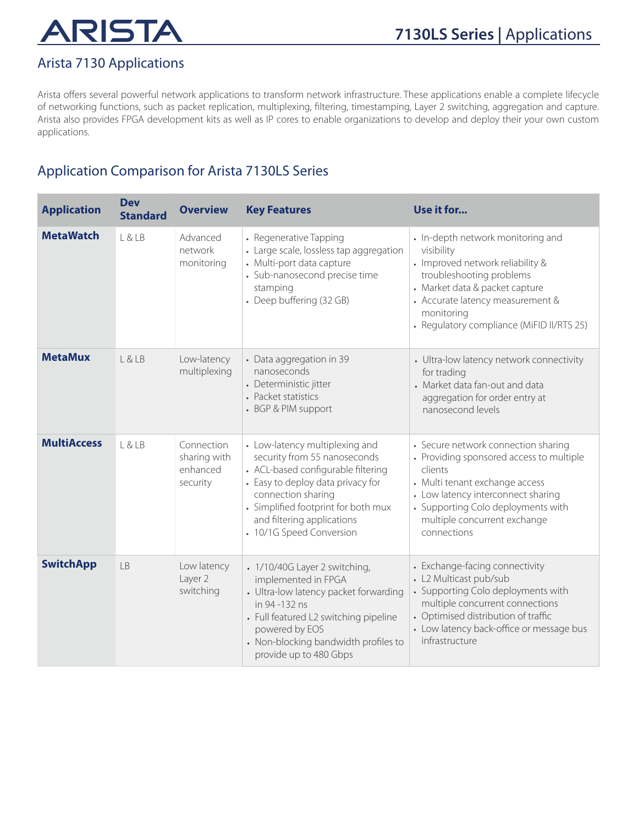## Arista 7130 Applications

Arista offers several powerful network applications to transform network infrastructure. These applications enable a complete lifecycle of networking functions, such as packet replication, multiplexing, filtering, timestamping, Layer 2 switching, aggregation and capture. Arista also provides FPGA development kits as well as IP cores to enable organizations to develop and deploy their your own custom applications.

## Application Comparison for Arista 7130LS Series

| <b>Application</b> | <b>Dev</b><br><b>Standard</b> | <b>Overview</b>                                    | <b>Key Features</b>                                                                                                                                                                                                                                              | Use it for                                                                                                                                                                                                                                              |
|--------------------|-------------------------------|----------------------------------------------------|------------------------------------------------------------------------------------------------------------------------------------------------------------------------------------------------------------------------------------------------------------------|---------------------------------------------------------------------------------------------------------------------------------------------------------------------------------------------------------------------------------------------------------|
| <b>MetaWatch</b>   | L&LB                          | Advanced<br>network<br>monitoring                  | • Regenerative Tapping<br>• Large scale, lossless tap aggregation<br>• Multi-port data capture<br>• Sub-nanosecond precise time<br>stamping<br>• Deep buffering (32 GB)                                                                                          | • In-depth network monitoring and<br>visibility<br>• Improved network reliability &<br>troubleshooting problems<br>• Market data & packet capture<br>• Accurate latency measurement &<br>monitoring<br>• Regulatory compliance (MiFID II/RTS 25)        |
| <b>MetaMux</b>     | L & LB                        | Low-latency<br>multiplexing                        | • Data aggregation in 39<br>nanoseconds<br>• Deterministic jitter<br>• Packet statistics<br>• BGP & PIM support                                                                                                                                                  | • Ultra-low latency network connectivity<br>for trading<br>• Market data fan-out and data<br>aggregation for order entry at<br>nanosecond levels                                                                                                        |
| <b>MultiAccess</b> | L & LB                        | Connection<br>sharing with<br>enhanced<br>security | • Low-latency multiplexing and<br>security from 55 nanoseconds<br>• ACL-based configurable filtering<br>• Easy to deploy data privacy for<br>connection sharing<br>• Simplified footprint for both mux<br>and filtering applications<br>• 10/1G Speed Conversion | • Secure network connection sharing<br>• Providing sponsored access to multiple<br>clients<br>• Multi tenant exchange access<br>• Low latency interconnect sharing<br>• Supporting Colo deployments with<br>multiple concurrent exchange<br>connections |
| <b>SwitchApp</b>   | <b>LB</b>                     | Low latency<br>Layer 2<br>switching                | • 1/10/40G Layer 2 switching,<br>implemented in FPGA<br>• Ultra-low latency packet forwarding<br>in 94 -132 ns<br>• Full featured L2 switching pipeline<br>powered by EOS<br>• Non-blocking bandwidth profiles to<br>provide up to 480 Gbps                      | • Exchange-facing connectivity<br>• L2 Multicast pub/sub<br>• Supporting Colo deployments with<br>multiple concurrent connections<br>• Optimised distribution of traffic<br>• Low latency back-office or message bus<br>infrastructure                  |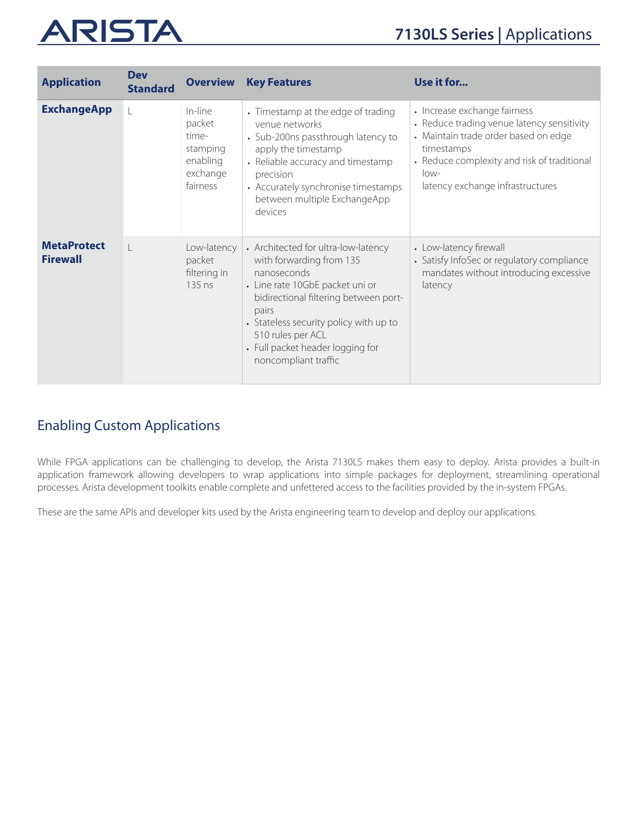| <b>Application</b>                    | <b>Dev</b><br><b>Standard</b> | <b>Overview</b>                                                            | <b>Key Features</b>                                                                                                                                                                                                                                                                            | Use it for                                                                                                                                                                                                                    |
|---------------------------------------|-------------------------------|----------------------------------------------------------------------------|------------------------------------------------------------------------------------------------------------------------------------------------------------------------------------------------------------------------------------------------------------------------------------------------|-------------------------------------------------------------------------------------------------------------------------------------------------------------------------------------------------------------------------------|
| <b>ExchangeApp</b>                    |                               | In-line<br>packet<br>time-<br>stamping<br>enabling<br>exchange<br>fairness | • Timestamp at the edge of trading<br>venue networks<br>• Sub-200ns passthrough latency to<br>apply the timestamp<br>• Reliable accuracy and timestamp<br>precision<br>• Accurately synchronise timestamps<br>between multiple ExchangeApp<br>devices                                          | • Increase exchange fairness<br>• Reduce trading venue latency sensitivity<br>• Maintain trade order based on edge<br>timestamps<br>• Reduce complexity and risk of traditional<br>$low-$<br>latency exchange infrastructures |
| <b>MetaProtect</b><br><b>Firewall</b> |                               | Low-latency<br>packet<br>filtering in<br>135 ns                            | • Architected for ultra-low-latency<br>with forwarding from 135<br>nanoseconds<br>• Line rate 10GbE packet uni or<br>bidirectional filtering between port-<br>pairs<br>• Stateless security policy with up to<br>510 rules per ACL<br>• Full packet header logging for<br>noncompliant traffic | • Low-latency firewall<br>• Satisfy InfoSec or regulatory compliance<br>mandates without introducing excessive<br>latency                                                                                                     |

## Enabling Custom Applications

While FPGA applications can be challenging to develop, the Arista 7130LS makes them easy to deploy. Arista provides a built-in application framework allowing developers to wrap applications into simple packages for deployment, streamlining operational processes. Arista development toolkits enable complete and unfettered access to the facilities provided by the in-system FPGAs.

These are the same APIs and developer kits used by the Arista engineering team to develop and deploy our applications.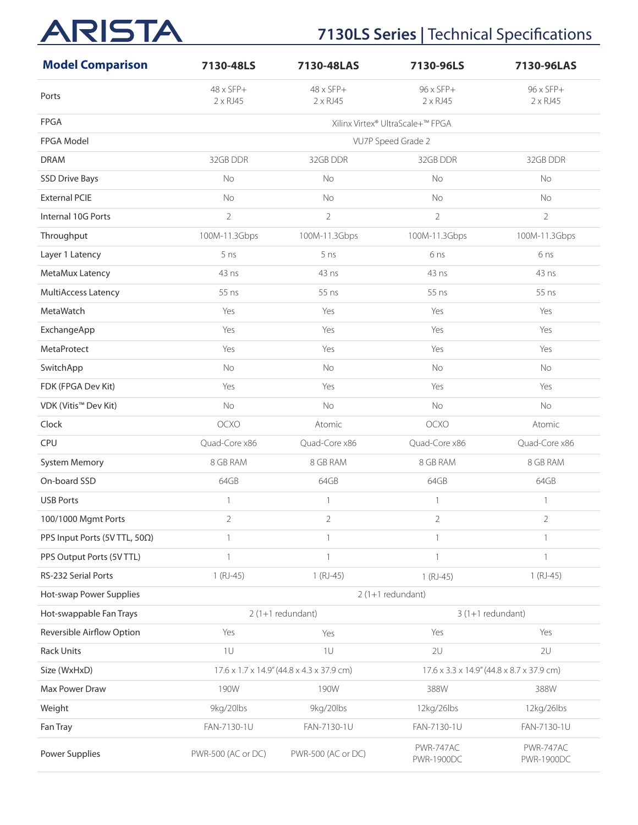## **7130LS Series | Technical Specifications**

| <b>Model Comparison</b>       | 7130-48LS                           | 7130-48LAS                                | 7130-96LS                            | 7130-96LAS                                |
|-------------------------------|-------------------------------------|-------------------------------------------|--------------------------------------|-------------------------------------------|
| Ports                         | $48 \times SFP+$<br>$2 \times RJ45$ | $48 \times SFP+$<br>$2 \times R$ J45      | $96 \times SFP+$<br>$2 \times R$ J45 | 96 x SFP+<br>$2 \times RJ45$              |
| <b>FPGA</b>                   |                                     |                                           | Xilinx Virtex® UltraScale+™ FPGA     |                                           |
| FPGA Model                    |                                     |                                           | VU7P Speed Grade 2                   |                                           |
| <b>DRAM</b>                   | 32GB DDR                            | 32GB DDR                                  | 32GB DDR                             | 32GB DDR                                  |
| <b>SSD Drive Bays</b>         | No                                  | No                                        | No                                   | No                                        |
| <b>External PCIE</b>          | No                                  | No                                        | No                                   | No                                        |
| Internal 10G Ports            | $\overline{2}$                      | $\overline{2}$                            | $\overline{2}$                       | $\overline{2}$                            |
| Throughput                    | 100M-11.3Gbps                       | 100M-11.3Gbps                             | 100M-11.3Gbps                        | 100M-11.3Gbps                             |
| Layer 1 Latency               | 5 <sub>ns</sub>                     | 5 <sub>ns</sub>                           | 6 <sub>ns</sub>                      | 6 ns                                      |
| MetaMux Latency               | 43 ns                               | $43$ ns                                   | 43 ns                                | 43 ns                                     |
| MultiAccess Latency           | 55 ns                               | 55 ns                                     | 55 ns                                | 55 ns                                     |
| MetaWatch                     | Yes                                 | Yes                                       | Yes                                  | Yes                                       |
| ExchangeApp                   | Yes                                 | Yes                                       | Yes                                  | Yes                                       |
| MetaProtect                   | Yes                                 | Yes                                       | Yes                                  | Yes                                       |
| SwitchApp                     | No                                  | No                                        | No                                   | <b>No</b>                                 |
| FDK (FPGA Dev Kit)            | Yes                                 | Yes                                       | Yes                                  | Yes                                       |
| VDK (Vitis™ Dev Kit)          | <b>No</b>                           | No                                        | No                                   | <b>No</b>                                 |
| Clock                         | OCXO                                | Atomic                                    | OCXO                                 | Atomic                                    |
| CPU                           | Quad-Core x86                       | Quad-Core x86                             | Quad-Core x86                        | Quad-Core x86                             |
| <b>System Memory</b>          | 8 GB RAM                            | 8 GB RAM                                  | 8 GB RAM                             | 8 GB RAM                                  |
| On-board SSD                  | 64GB                                | 64GB                                      | 64GB                                 | 64GB                                      |
| <b>USB Ports</b>              | $\mathbf{1}$                        | $\mathbf{1}$                              | $\mathbf{1}$                         | $\mathbf{1}$                              |
| 100/1000 Mgmt Ports           | $\overline{2}$                      | 2                                         | 2                                    | $\overline{2}$                            |
| PPS Input Ports (5V TTL, 50Ω) | $\mathbf{1}$                        | $\mathbf{1}$                              | $\mathbf{1}$                         | $\mathbf{1}$                              |
| PPS Output Ports (5V TTL)     | $\mathbf{1}$                        | $\mathbf{1}$                              | $\mathbf{1}$                         | 1                                         |
| RS-232 Serial Ports           | $1(RJ-45)$                          | $1(RJ-45)$                                | $1(RJ-45)$                           | $1(RJ-45)$                                |
| Hot-swap Power Supplies       |                                     |                                           | $2(1+1$ redundant)                   |                                           |
| Hot-swappable Fan Trays       |                                     | $2(1+1$ redundant)                        |                                      | $3(1+1$ redundant)                        |
| Reversible Airflow Option     | Yes                                 | Yes                                       | Yes                                  | Yes                                       |
| <b>Rack Units</b>             | 1U                                  | 1U                                        | 2U                                   | 2U                                        |
| Size (WxHxD)                  |                                     | 17.6 x 1.7 x 14.9" (44.8 x 4.3 x 37.9 cm) |                                      | 17.6 x 3.3 x 14.9" (44.8 x 8.7 x 37.9 cm) |
| Max Power Draw                | 190W                                | 190W                                      | 388W                                 | 388W                                      |
| Weight                        | 9kg/20lbs                           | 9kg/20lbs                                 | 12kg/26lbs                           | 12kg/26lbs                                |
| Fan Tray                      | FAN-7130-1U                         | FAN-7130-1U                               | FAN-7130-1U                          | FAN-7130-1U                               |
| <b>Power Supplies</b>         | PWR-500 (AC or DC)                  | PWR-500 (AC or DC)                        | PWR-747AC<br><b>PWR-1900DC</b>       | PWR-747AC<br>PWR-1900DC                   |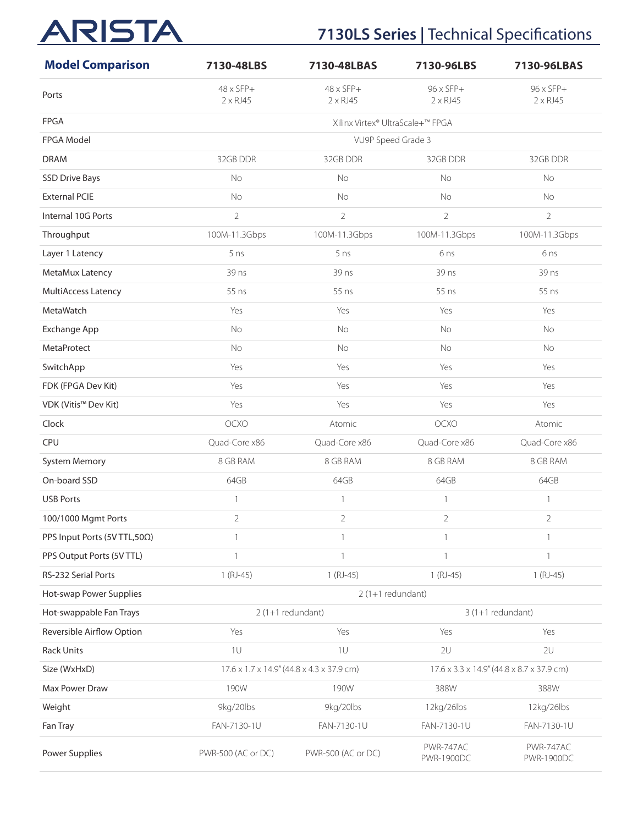## **7130LS Series | Technical Specifications**

| <b>Model Comparison</b>      | 7130-48LBS                          | 7130-48LBAS                               | 7130-96LBS                          | 7130-96LBAS                               |
|------------------------------|-------------------------------------|-------------------------------------------|-------------------------------------|-------------------------------------------|
| Ports                        | $48 \times SFP+$<br>$2 \times RJ45$ | $48 \times SFP+$<br>$2 \times R$ J45      | $96 \times SFP+$<br>$2 \times RJ45$ | 96 x SFP+<br>$2 \times R$ J45             |
| <b>FPGA</b>                  | Xilinx Virtex® UltraScale+™ FPGA    |                                           |                                     |                                           |
| FPGA Model                   |                                     | VU9P Speed Grade 3                        |                                     |                                           |
| <b>DRAM</b>                  | 32GB DDR                            | 32GB DDR                                  | 32GB DDR                            | 32GB DDR                                  |
| <b>SSD Drive Bays</b>        | <b>No</b>                           | <b>No</b>                                 | <b>No</b>                           | <b>No</b>                                 |
| <b>External PCIE</b>         | <b>No</b>                           | <b>No</b>                                 | <b>No</b>                           | No                                        |
| Internal 10G Ports           | $\overline{2}$                      | $\overline{2}$                            | $\overline{2}$                      | $\overline{2}$                            |
| Throughput                   | 100M-11.3Gbps                       | 100M-11.3Gbps                             | 100M-11.3Gbps                       | 100M-11.3Gbps                             |
| Layer 1 Latency              | 5 ns                                | 5 <sub>ns</sub>                           | 6 <sub>ns</sub>                     | 6 ns                                      |
| MetaMux Latency              | 39 ns                               | 39 ns                                     | 39 ns                               | 39 ns                                     |
| MultiAccess Latency          | 55 ns                               | 55 ns                                     | 55 ns                               | 55 ns                                     |
| MetaWatch                    | Yes                                 | Yes                                       | Yes                                 | Yes                                       |
| <b>Exchange App</b>          | No                                  | No                                        | No                                  | No                                        |
| MetaProtect                  | No                                  | No                                        | No                                  | No                                        |
| SwitchApp                    | Yes                                 | Yes                                       | Yes                                 | Yes                                       |
| FDK (FPGA Dev Kit)           | Yes                                 | Yes                                       | Yes                                 | Yes                                       |
| VDK (Vitis™ Dev Kit)         | Yes                                 | Yes                                       | Yes                                 | Yes                                       |
| Clock                        | OCXO                                | Atomic                                    | <b>OCXO</b>                         | Atomic                                    |
| <b>CPU</b>                   | Quad-Core x86                       | Quad-Core x86                             | Quad-Core x86                       | Quad-Core x86                             |
| <b>System Memory</b>         | 8 GB RAM                            | 8 GB RAM                                  | 8 GB RAM                            | 8 GB RAM                                  |
| On-board SSD                 | 64GB                                | 64GB                                      | 64GB                                | 64GB                                      |
| <b>USB Ports</b>             | $\mathbf{1}$                        | $\mathbf{1}$                              | $\mathbf{1}$                        | $\mathbf{1}$                              |
| 100/1000 Mgmt Ports          | $\overline{c}$                      | $\overline{2}$                            | $\overline{2}$                      | $\sqrt{2}$                                |
| PPS Input Ports (5V TTL,50Ω) | $\mathbf{1}$                        | $\mathbf{1}$                              | $\mathbf{1}$                        | $\mathbf{1}$                              |
| PPS Output Ports (5V TTL)    | $\mathbf{1}$                        | $\mathbf{1}$                              | $\mathbf{1}$                        | $\mathbf{1}$                              |
| RS-232 Serial Ports          | $1(RJ-45)$                          | $1(RJ-45)$                                | $1(RJ-45)$                          | $1(RJ-45)$                                |
| Hot-swap Power Supplies      |                                     | $2(1+1$ redundant)                        |                                     |                                           |
| Hot-swappable Fan Trays      |                                     | $2(1+1$ redundant)                        |                                     | $3(1+1$ redundant)                        |
| Reversible Airflow Option    | Yes                                 | Yes                                       | Yes                                 | Yes                                       |
| Rack Units                   | 1U                                  | 1U                                        | 2U                                  | 2U                                        |
| Size (WxHxD)                 |                                     | 17.6 x 1.7 x 14.9" (44.8 x 4.3 x 37.9 cm) |                                     | 17.6 x 3.3 x 14.9" (44.8 x 8.7 x 37.9 cm) |
| Max Power Draw               | 190W                                | 190W                                      | 388W                                | 388W                                      |
| Weight                       | 9kg/20lbs                           | 9kg/20lbs                                 | 12kg/26lbs                          | 12kg/26lbs                                |
| Fan Tray                     | FAN-7130-1U                         | FAN-7130-1U                               | FAN-7130-1U                         | FAN-7130-1U                               |
| Power Supplies               | PWR-500 (AC or DC)                  | PWR-500 (AC or DC)                        | PWR-747AC<br><b>PWR-1900DC</b>      | PWR-747AC<br><b>PWR-1900DC</b>            |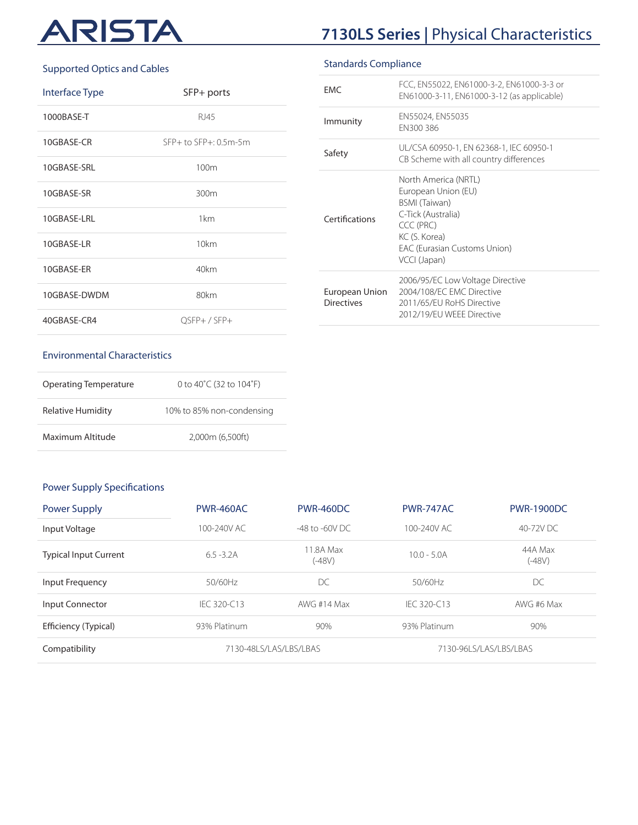## RISTA AI

## **7130LS Series |** Physical Characteristics

#### Supported Optics and Cables

| Interface Type | SFP+ ports                 |
|----------------|----------------------------|
| 1000BASE-T     | RJ45                       |
| 10GBASE-CR     | $SFP+$ to $SFP+$ : 0.5m-5m |
| 10GBASE-SRL    | 100m                       |
| 10GBASE-SR     | 300m                       |
| 10GBASE-LRL    | 1km                        |
| 10GBASE-LR     | 10km                       |
| 10GBASE-ER     | 40km                       |
| 10GBASE-DWDM   | 80km                       |
| 40GBASE-CR4    | OSFP+/SFP+                 |

### Standards Compliance

| <b>FMC</b>                          | FCC, EN55022, EN61000-3-2, EN61000-3-3 or<br>EN61000-3-11, EN61000-3-12 (as applicable)                                                                          |
|-------------------------------------|------------------------------------------------------------------------------------------------------------------------------------------------------------------|
| Immunity                            | EN55024, EN55035<br>FN300386                                                                                                                                     |
| Safety                              | UL/CSA 60950-1, EN 62368-1, IEC 60950-1<br>CB Scheme with all country differences                                                                                |
| Certifications                      | North America (NRTL)<br>European Union (EU)<br>BSMI (Taiwan)<br>C-Tick (Australia)<br>CCC (PRC)<br>KC (S. Korea)<br>EAC (Eurasian Customs Union)<br>VCCI (Japan) |
| European Union<br><b>Directives</b> | 2006/95/EC Low Voltage Directive<br>2004/108/FC FMC Directive<br>2011/65/FU RoHS Directive<br>2012/19/FU WFFF Directive                                          |

#### Environmental Characteristics

| Operating Temperature | 0 to 40 $^{\circ}$ C (32 to 104 $^{\circ}$ F) |
|-----------------------|-----------------------------------------------|
| Relative Humidity     | 10% to 85% non-condensing                     |
| Maximum Altitude      | 2.000m (6.500ft)                              |

#### Power Supply Specifications

| <b>Power Supply</b>          | PWR-460AC    | <b>PWR-460DC</b>       | PWR-747AC     | <b>PWR-1900DC</b>      |
|------------------------------|--------------|------------------------|---------------|------------------------|
| Input Voltage                | 100-240V AC  | $-48$ to $-60V$ DC.    | 100-240V AC   | 40-72V DC              |
| <b>Typical Input Current</b> | $6.5 - 3.2A$ | 11.8A Max<br>$(-48V)$  | $10.0 - 5.0A$ | 44A Max<br>$(-48V)$    |
| Input Frequency              | 50/60Hz      | DC                     | 50/60Hz       | DC                     |
| Input Connector              | IFC 320-C13  | AWG #14 Max            | IFC 320-C13   | AWG #6 Max             |
| Efficiency (Typical)         | 93% Platinum | 90%                    | 93% Platinum  | 90%                    |
| Compatibility                |              | 7130-48LS/LAS/LBS/LBAS |               | 7130-96LS/LAS/LBS/LBAS |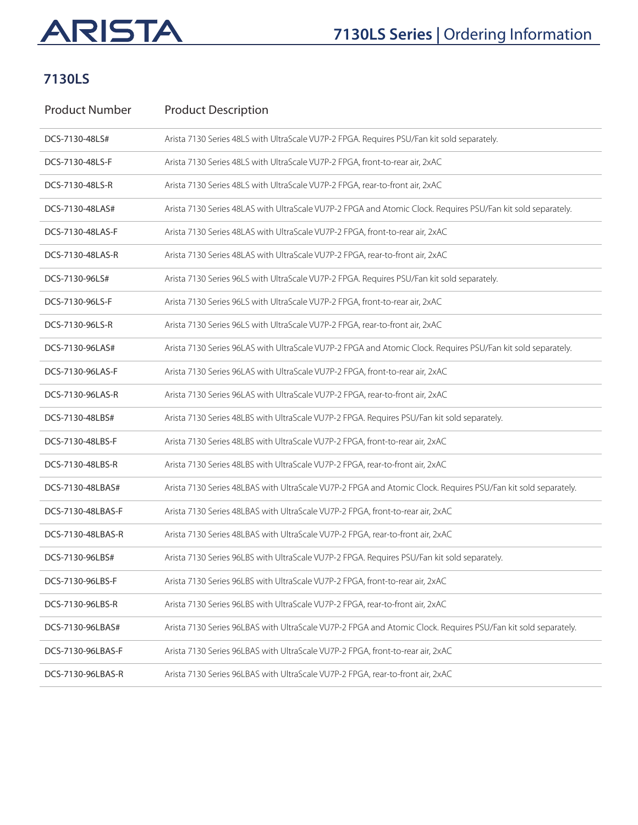## **7130LS Series | Ordering Information**

## **7130LS**

| <b>Product Number</b> | <b>Product Description</b>                                                                                    |
|-----------------------|---------------------------------------------------------------------------------------------------------------|
| DCS-7130-48LS#        | Arista 7130 Series 48LS with UltraScale VU7P-2 FPGA. Requires PSU/Fan kit sold separately.                    |
| DCS-7130-48LS-F       | Arista 7130 Series 48LS with UltraScale VU7P-2 FPGA, front-to-rear air, 2xAC                                  |
| DCS-7130-48LS-R       | Arista 7130 Series 48LS with UltraScale VU7P-2 FPGA, rear-to-front air, 2xAC                                  |
| DCS-7130-48LAS#       | Arista 7130 Series 48LAS with UltraScale VU7P-2 FPGA and Atomic Clock. Requires PSU/Fan kit sold separately.  |
| DCS-7130-48LAS-F      | Arista 7130 Series 48LAS with UltraScale VU7P-2 FPGA, front-to-rear air, 2xAC                                 |
| DCS-7130-48LAS-R      | Arista 7130 Series 48LAS with UltraScale VU7P-2 FPGA, rear-to-front air, 2xAC                                 |
| DCS-7130-96LS#        | Arista 7130 Series 96LS with UltraScale VU7P-2 FPGA. Requires PSU/Fan kit sold separately.                    |
| DCS-7130-96LS-F       | Arista 7130 Series 96LS with UltraScale VU7P-2 FPGA, front-to-rear air, 2xAC                                  |
| DCS-7130-96LS-R       | Arista 7130 Series 96LS with UltraScale VU7P-2 FPGA, rear-to-front air, 2xAC                                  |
| DCS-7130-96LAS#       | Arista 7130 Series 96LAS with UltraScale VU7P-2 FPGA and Atomic Clock. Requires PSU/Fan kit sold separately.  |
| DCS-7130-96LAS-F      | Arista 7130 Series 96LAS with UltraScale VU7P-2 FPGA, front-to-rear air, 2xAC                                 |
| DCS-7130-96LAS-R      | Arista 7130 Series 96LAS with UltraScale VU7P-2 FPGA, rear-to-front air, 2xAC                                 |
| DCS-7130-48LBS#       | Arista 7130 Series 48LBS with UltraScale VU7P-2 FPGA. Requires PSU/Fan kit sold separately.                   |
| DCS-7130-48LBS-F      | Arista 7130 Series 48LBS with UltraScale VU7P-2 FPGA, front-to-rear air, 2xAC                                 |
| DCS-7130-48LBS-R      | Arista 7130 Series 48LBS with UltraScale VU7P-2 FPGA, rear-to-front air, 2xAC                                 |
| DCS-7130-48LBAS#      | Arista 7130 Series 48LBAS with UltraScale VU7P-2 FPGA and Atomic Clock. Requires PSU/Fan kit sold separately. |
| DCS-7130-48LBAS-F     | Arista 7130 Series 48LBAS with UltraScale VU7P-2 FPGA, front-to-rear air, 2xAC                                |
| DCS-7130-48LBAS-R     | Arista 7130 Series 48LBAS with UltraScale VU7P-2 FPGA, rear-to-front air, 2xAC                                |
| DCS-7130-96LBS#       | Arista 7130 Series 96LBS with UltraScale VU7P-2 FPGA. Requires PSU/Fan kit sold separately.                   |
| DCS-7130-96LBS-F      | Arista 7130 Series 96LBS with UltraScale VU7P-2 FPGA, front-to-rear air, 2xAC                                 |
| DCS-7130-96LBS-R      | Arista 7130 Series 96LBS with UltraScale VU7P-2 FPGA, rear-to-front air, 2xAC                                 |
| DCS-7130-96LBAS#      | Arista 7130 Series 96LBAS with UltraScale VU7P-2 FPGA and Atomic Clock. Requires PSU/Fan kit sold separately. |
| DCS-7130-96LBAS-F     | Arista 7130 Series 96LBAS with UltraScale VU7P-2 FPGA, front-to-rear air, 2xAC                                |
| DCS-7130-96LBAS-R     | Arista 7130 Series 96LBAS with UltraScale VU7P-2 FPGA, rear-to-front air, 2xAC                                |